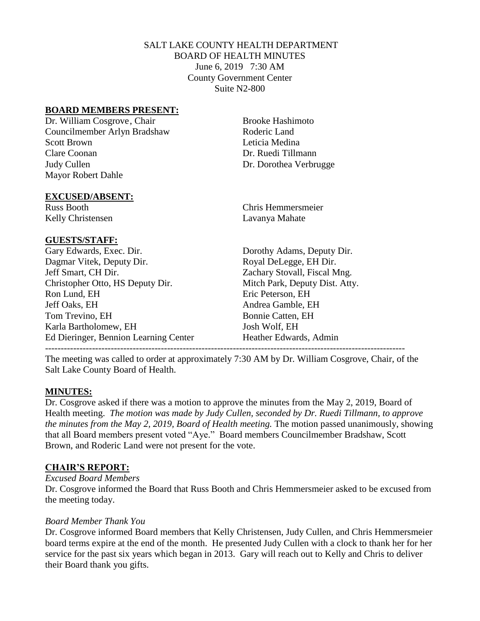## SALT LAKE COUNTY HEALTH DEPARTMENT BOARD OF HEALTH MINUTES June 6, 2019 7:30 AM County Government Center Suite N2-800

#### **BOARD MEMBERS PRESENT:**

Dr. William Cosgrove, Chair Brooke Hashimoto Councilmember Arlyn Bradshaw Roderic Land Scott Brown Leticia Medina Clare Coonan Dr. Ruedi Tillmann Judy Cullen Dr. Dorothea Verbrugge Mayor Robert Dahle

#### **EXCUSED/ABSENT:**

Kelly Christensen Lavanya Mahate

### **GUESTS/STAFF:**

Gary Edwards, Exec. Dir. Dorothy Adams, Deputy Dir. Dagmar Vitek, Deputy Dir. Royal DeLegge, EH Dir. Jeff Smart, CH Dir. Zachary Stovall, Fiscal Mng. Christopher Otto, HS Deputy Dir. Mitch Park, Deputy Dist. Atty. Ron Lund, EH Eric Peterson, EH Jeff Oaks, EH Andrea Gamble, EH Tom Trevino, EH Bonnie Catten, EH Karla Bartholomew, EH Josh Wolf, EH Ed Dieringer, Bennion Learning Center **Heather Edwards**, Admin -------------------------------------------------------------------------------------------------------------------

Russ Booth Chris Hemmersmeier

The meeting was called to order at approximately 7:30 AM by Dr. William Cosgrove, Chair, of the Salt Lake County Board of Health.

## **MINUTES:**

Dr. Cosgrove asked if there was a motion to approve the minutes from the May 2, 2019, Board of Health meeting. *The motion was made by Judy Cullen, seconded by Dr. Ruedi Tillmann, to approve the minutes from the May 2, 2019, Board of Health meeting.* The motion passed unanimously, showing that all Board members present voted "Aye." Board members Councilmember Bradshaw, Scott Brown, and Roderic Land were not present for the vote.

## **CHAIR'S REPORT:**

## *Excused Board Members*

Dr. Cosgrove informed the Board that Russ Booth and Chris Hemmersmeier asked to be excused from the meeting today.

## *Board Member Thank You*

Dr. Cosgrove informed Board members that Kelly Christensen, Judy Cullen, and Chris Hemmersmeier board terms expire at the end of the month. He presented Judy Cullen with a clock to thank her for her service for the past six years which began in 2013. Gary will reach out to Kelly and Chris to deliver their Board thank you gifts.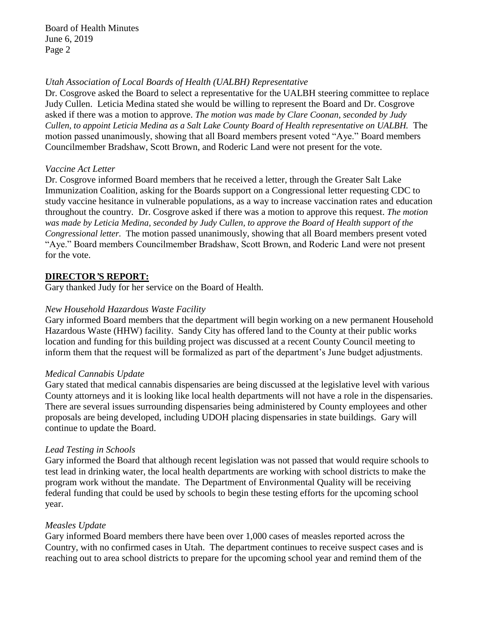Board of Health Minutes June 6, 2019 Page 2

### *Utah Association of Local Boards of Health (UALBH) Representative*

Dr. Cosgrove asked the Board to select a representative for the UALBH steering committee to replace Judy Cullen. Leticia Medina stated she would be willing to represent the Board and Dr. Cosgrove asked if there was a motion to approve. *The motion was made by Clare Coonan, seconded by Judy Cullen, to appoint Leticia Medina as a Salt Lake County Board of Health representative on UALBH.* The motion passed unanimously, showing that all Board members present voted "Aye." Board members Councilmember Bradshaw, Scott Brown, and Roderic Land were not present for the vote.

### *Vaccine Act Letter*

Dr. Cosgrove informed Board members that he received a letter, through the Greater Salt Lake Immunization Coalition, asking for the Boards support on a Congressional letter requesting CDC to study vaccine hesitance in vulnerable populations, as a way to increase vaccination rates and education throughout the country. Dr. Cosgrove asked if there was a motion to approve this request. *The motion was made by Leticia Medina, seconded by Judy Cullen, to approve the Board of Health support of the Congressional letter.* The motion passed unanimously, showing that all Board members present voted "Aye." Board members Councilmember Bradshaw, Scott Brown, and Roderic Land were not present for the vote.

### **DIRECTOR***'***S REPORT:**

Gary thanked Judy for her service on the Board of Health.

### *New Household Hazardous Waste Facility*

Gary informed Board members that the department will begin working on a new permanent Household Hazardous Waste (HHW) facility. Sandy City has offered land to the County at their public works location and funding for this building project was discussed at a recent County Council meeting to inform them that the request will be formalized as part of the department's June budget adjustments.

#### *Medical Cannabis Update*

Gary stated that medical cannabis dispensaries are being discussed at the legislative level with various County attorneys and it is looking like local health departments will not have a role in the dispensaries. There are several issues surrounding dispensaries being administered by County employees and other proposals are being developed, including UDOH placing dispensaries in state buildings. Gary will continue to update the Board.

#### *Lead Testing in Schools*

Gary informed the Board that although recent legislation was not passed that would require schools to test lead in drinking water, the local health departments are working with school districts to make the program work without the mandate. The Department of Environmental Quality will be receiving federal funding that could be used by schools to begin these testing efforts for the upcoming school year.

#### *Measles Update*

Gary informed Board members there have been over 1,000 cases of measles reported across the Country, with no confirmed cases in Utah. The department continues to receive suspect cases and is reaching out to area school districts to prepare for the upcoming school year and remind them of the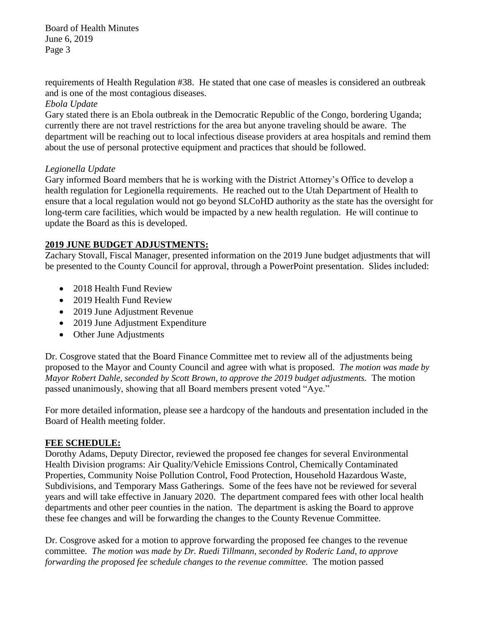Board of Health Minutes June 6, 2019 Page 3

requirements of Health Regulation #38. He stated that one case of measles is considered an outbreak and is one of the most contagious diseases.

## *Ebola Update*

Gary stated there is an Ebola outbreak in the Democratic Republic of the Congo, bordering Uganda; currently there are not travel restrictions for the area but anyone traveling should be aware. The department will be reaching out to local infectious disease providers at area hospitals and remind them about the use of personal protective equipment and practices that should be followed.

## *Legionella Update*

Gary informed Board members that he is working with the District Attorney's Office to develop a health regulation for Legionella requirements. He reached out to the Utah Department of Health to ensure that a local regulation would not go beyond SLCoHD authority as the state has the oversight for long-term care facilities, which would be impacted by a new health regulation. He will continue to update the Board as this is developed.

# **2019 JUNE BUDGET ADJUSTMENTS:**

Zachary Stovall, Fiscal Manager, presented information on the 2019 June budget adjustments that will be presented to the County Council for approval, through a PowerPoint presentation. Slides included:

- 2018 Health Fund Review
- 2019 Health Fund Review
- 2019 June Adjustment Revenue
- 2019 June Adjustment Expenditure
- Other June Adjustments

Dr. Cosgrove stated that the Board Finance Committee met to review all of the adjustments being proposed to the Mayor and County Council and agree with what is proposed. *The motion was made by Mayor Robert Dahle, seconded by Scott Brown, to approve the 2019 budget adjustments.* The motion passed unanimously, showing that all Board members present voted "Aye."

For more detailed information, please see a hardcopy of the handouts and presentation included in the Board of Health meeting folder.

## **FEE SCHEDULE:**

Dorothy Adams, Deputy Director, reviewed the proposed fee changes for several Environmental Health Division programs: Air Quality/Vehicle Emissions Control, Chemically Contaminated Properties, Community Noise Pollution Control, Food Protection, Household Hazardous Waste, Subdivisions, and Temporary Mass Gatherings. Some of the fees have not be reviewed for several years and will take effective in January 2020. The department compared fees with other local health departments and other peer counties in the nation. The department is asking the Board to approve these fee changes and will be forwarding the changes to the County Revenue Committee.

Dr. Cosgrove asked for a motion to approve forwarding the proposed fee changes to the revenue committee. *The motion was made by Dr. Ruedi Tillmann, seconded by Roderic Land, to approve forwarding the proposed fee schedule changes to the revenue committee.* The motion passed